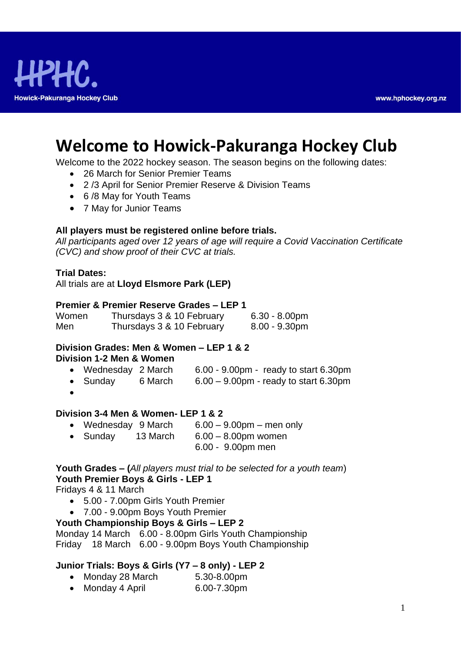

# **Welcome to Howick-Pakuranga Hockey Club**

Welcome to the 2022 hockey season. The season begins on the following dates:

- 26 March for Senior Premier Teams
- 2 /3 April for Senior Premier Reserve & Division Teams
- 6 /8 May for Youth Teams
- 7 May for Junior Teams

#### **All players must be registered online before trials.**

*All participants aged over 12 years of age will require a Covid Vaccination Certificate (CVC) and show proof of their CVC at trials.*

#### **Trial Dates:**

All trials are at **Lloyd Elsmore Park (LEP)**

#### **Premier & Premier Reserve Grades – LEP 1**

| Women | Thursdays 3 & 10 February | $6.30 - 8.00$ pm |
|-------|---------------------------|------------------|
| Men   | Thursdays 3 & 10 February | $8.00 - 9.30$ pm |

#### **Division Grades: Men & Women – LEP 1 & 2 Division 1-2 Men & Women**

- Wednesday 2 March 6.00 9.00pm ready to start 6.30pm
- Sunday 6 March 6.00 9.00pm ready to start 6.30pm
- •

#### **Division 3-4 Men & Women- LEP 1 & 2**

- Wednesday 9 March 6.00 9.00pm men only
- Sunday 13 March 6.00 8.00pm women
	- 6.00 9.00pm men

# **Youth Grades – (***All players must trial to be selected for a youth team*) **Youth Premier Boys & Girls - LEP 1**

Fridays 4 & 11 March

- 5.00 7.00pm Girls Youth Premier
- 7.00 9.00pm Boys Youth Premier

# **Youth Championship Boys & Girls – LEP 2**

Monday 14 March 6.00 - 8.00pm Girls Youth Championship Friday 18 March 6.00 - 9.00pm Boys Youth Championship

# **Junior Trials: Boys & Girls (Y7 – 8 only) - LEP 2**

• Monday 28 March 5.30-8.00pm • Monday 4 April 6.00-7.30pm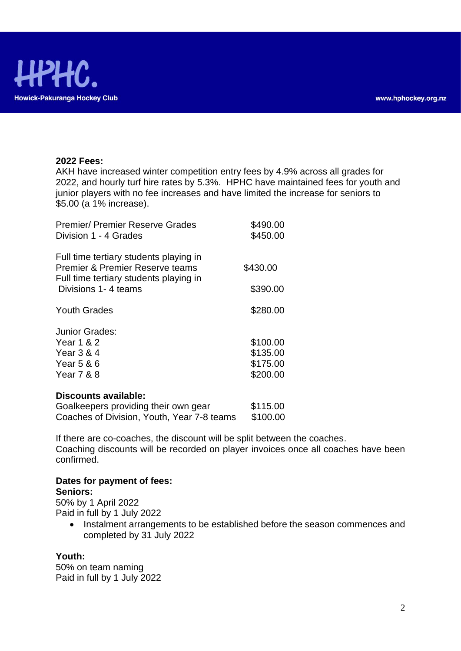

#### **2022 Fees:**

AKH have increased winter competition entry fees by 4.9% across all grades for 2022, and hourly turf hire rates by 5.3%. HPHC have maintained fees for youth and junior players with no fee increases and have limited the increase for seniors to \$5.00 (a 1% increase).

| <b>Premier/ Premier Reserve Grades</b><br>Division 1 - 4 Grades           | \$490.00<br>\$450.00 |
|---------------------------------------------------------------------------|----------------------|
| Full time tertiary students playing in<br>Premier & Premier Reserve teams | \$430.00             |
| Full time tertiary students playing in<br>Divisions 1-4 teams             | \$390.00             |
| <b>Youth Grades</b>                                                       | \$280.00             |
| Junior Grades:                                                            |                      |
| Year 1 & 2                                                                | \$100.00             |
| Year 3 & 4                                                                | \$135.00             |
| Year 5 & 6                                                                | \$175.00             |
| Year 7 & 8                                                                | \$200.00             |

#### **Discounts available:**

| Goalkeepers providing their own gear       | \$115.00 |
|--------------------------------------------|----------|
| Coaches of Division, Youth, Year 7-8 teams | \$100.00 |

If there are co-coaches, the discount will be split between the coaches. Coaching discounts will be recorded on player invoices once all coaches have been confirmed.

#### **Dates for payment of fees: Seniors:**

50% by 1 April 2022

Paid in full by 1 July 2022

• Instalment arrangements to be established before the season commences and completed by 31 July 2022

# **Youth:**

50% on team naming Paid in full by 1 July 2022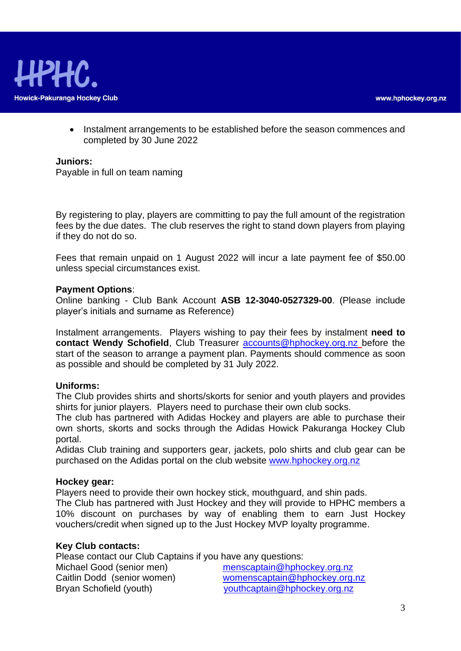• Instalment arrangements to be established before the season commences and completed by 30 June 2022

#### **Juniors:**

Payable in full on team naming

By registering to play, players are committing to pay the full amount of the registration fees by the due dates. The club reserves the right to stand down players from playing if they do not do so.

Fees that remain unpaid on 1 August 2022 will incur a late payment fee of \$50.00 unless special circumstances exist.

#### **Payment Options**:

Online banking - Club Bank Account **ASB 12-3040-0527329-00**. (Please include player's initials and surname as Reference)

Instalment arrangements. Players wishing to pay their fees by instalment **need to contact Wendy Schofield**, Club Treasurer [accounts@hphockey.org.nz](mailto:accounts@hphockey.org.nz) before the start of the season to arrange a payment plan. Payments should commence as soon as possible and should be completed by 31 July 2022.

#### **Uniforms:**

The Club provides shirts and shorts/skorts for senior and youth players and provides shirts for junior players. Players need to purchase their own club socks.

The club has partnered with Adidas Hockey and players are able to purchase their own shorts, skorts and socks through the Adidas Howick Pakuranga Hockey Club portal.

Adidas Club training and supporters gear, jackets, polo shirts and club gear can be purchased on the Adidas portal on the club website [www.hphockey.org.nz](http://www.hphockey.org.nz/) 

#### **Hockey gear:**

Players need to provide their own hockey stick, mouthguard, and shin pads.

The Club has partnered with Just Hockey and they will provide to HPHC members a 10% discount on purchases by way of enabling them to earn Just Hockey vouchers/credit when signed up to the Just Hockey MVP loyalty programme.

#### **Key Club contacts:**

Please contact our Club Captains if you have any questions:

| Michael Good (senior men)   | menscaptain@hphockey.org.nz   |
|-----------------------------|-------------------------------|
| Caitlin Dodd (senior women) | womenscaptain@hphockey.org.nz |
| Bryan Schofield (youth)     | youthcaptain@hphockey.org.nz  |